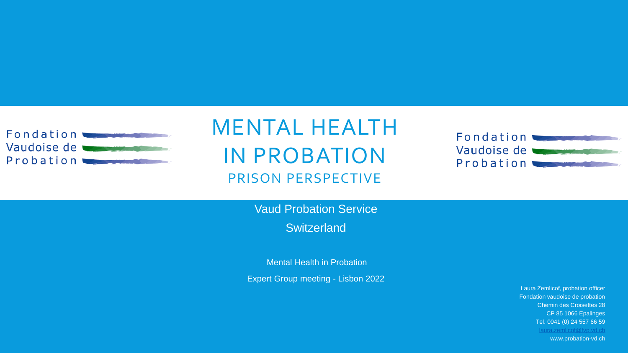

#### MENTAL HEALTH IN PROBATION PRISON PERSPECTIVE



Vaud Probation Service **Switzerland** 

Mental Health in Probation

Expert Group meeting - Lisbon 2022

Laura Zemlicof, probation officer Fondation vaudoise de probation Chemin des Croisettes 28 CP 85 1066 Epalinges Tel. 0041 (0) 24 557 66 59 [laura.zemlicof@fvp.vd.ch](mailto:laura.zemlicof@fvp.vd.ch) www.probation-vd.ch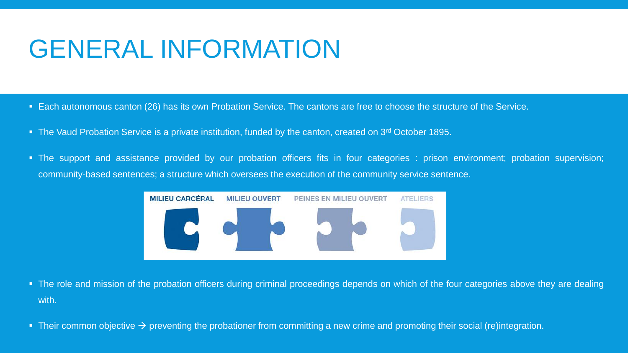# GENERAL INFORMATION

- Each autonomous canton (26) has its own Probation Service. The cantons are free to choose the structure of the Service.
- The Vaud Probation Service is a private institution, funded by the canton, created on 3<sup>rd</sup> October 1895.
- The support and assistance provided by our probation officers fits in four categories : prison environment; probation supervision; community-based sentences; a structure which oversees the execution of the community service sentence.



- The role and mission of the probation officers during criminal proceedings depends on which of the four categories above they are dealing with.
- **•** Their common objective  $\rightarrow$  preventing the probationer from committing a new crime and promoting their social (re)integration.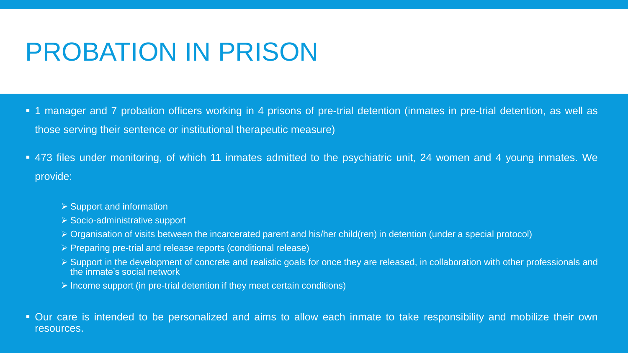## PROBATION IN PRISON

- 1 manager and 7 probation officers working in 4 prisons of pre-trial detention (inmates in pre-trial detention, as well as those serving their sentence or institutional therapeutic measure)
- 473 files under monitoring, of which 11 inmates admitted to the psychiatric unit, 24 women and 4 young inmates. We provide:
	- ➢ Support and information
	- ➢ Socio-administrative support
	- ➢ Organisation of visits between the incarcerated parent and his/her child(ren) in detention (under a special protocol)
	- ➢ Preparing pre-trial and release reports (conditional release)
	- ➢ Support in the development of concrete and realistic goals for once they are released, in collaboration with other professionals and the inmate's social network
	- ➢ Income support (in pre-trial detention if they meet certain conditions)
- Our care is intended to be personalized and aims to allow each inmate to take responsibility and mobilize their own resources.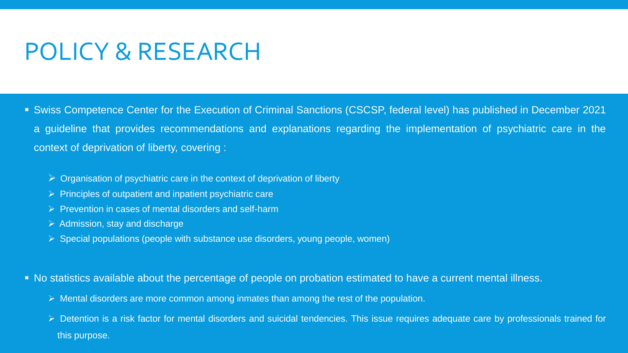#### POLICY & RESEARCH

- Swiss Competence Center for the Execution of Criminal Sanctions (CSCSP, federal level) has published in December 2021 a guideline that provides recommendations and explanations regarding the implementation of psychiatric care in the context of deprivation of liberty, covering :
	- - $\triangleright$  Organisation of psychiatric care in the context of deprivation of liberty
		- ➢ Principles of outpatient and inpatient psychiatric care
		- ➢ Prevention in cases of mental disorders and self-harm
		- $\triangleright$  Admission, stay and discharge
		- ➢ Special populations (people with substance use disorders, young people, women)
- No statistics available about the percentage of people on probation estimated to have a current mental illness.
	- ➢ Mental disorders are more common among inmates than among the rest of the population.
	- ➢ Detention is a risk factor for mental disorders and suicidal tendencies. This issue requires adequate care by professionals trained for this purpose.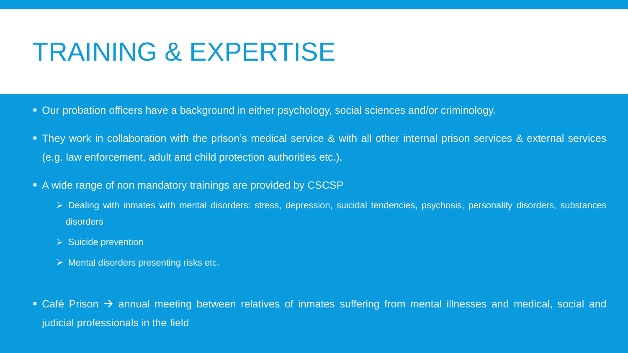### TRAINING & EXPERTISE

- **.** Our probation officers have a background in either psychology, social sciences and/or criminology.
- They work in collaboration with the prison's medical service & with all other internal prison services & external services (e.g. law enforcement, adult and child protection authorities etc.).
- A wide range of non mandatory trainings are provided by CSCSP
	- ➢ Dealing with inmates with mental disorders: stress, depression, suicidal tendencies, psychosis, personality disorders, substances disorders
	- ➢ Suicide prevention
	- ➢ Mental disorders presenting risks etc.
- Café Prison → annual meeting between relatives of inmates suffering from mental illnesses and medical, social and judicial professionals in the field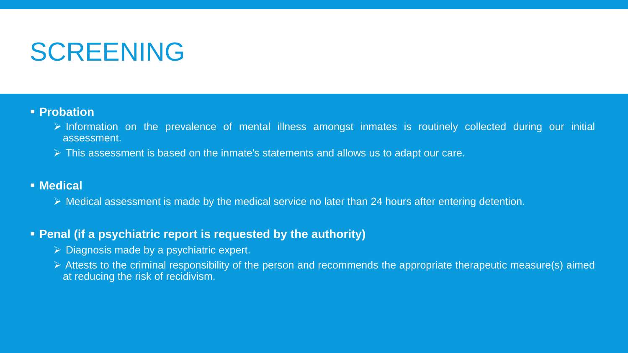### SCREENING

#### ▪ **Probation**

- ➢ Information on the prevalence of mental illness amongst inmates is routinely collected during our initial assessment.
- ➢ This assessment is based on the inmate's statements and allows us to adapt our care.

#### ▪ **Medical**

➢ Medical assessment is made by the medical service no later than 24 hours after entering detention.

#### ▪ **Penal (if a psychiatric report is requested by the authority)**

- ➢ Diagnosis made by a psychiatric expert.
- ➢ Attests to the criminal responsibility of the person and recommends the appropriate therapeutic measure(s) aimed at reducing the risk of recidivism.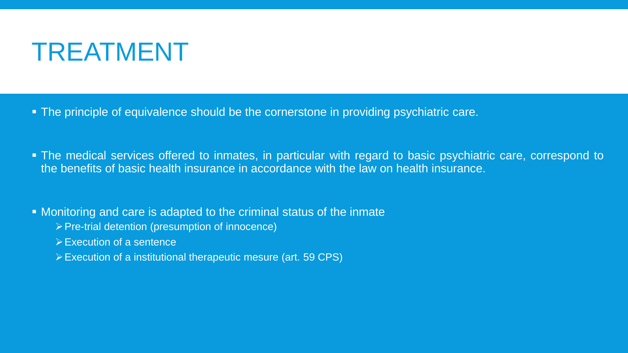### TREATMENT

- **The principle of equivalence should be the cornerstone in providing psychiatric care.**
- The medical services offered to inmates, in particular with regard to basic psychiatric care, correspond to the benefits of basic health insurance in accordance with the law on health insurance.
- **Monitoring and care is adapted to the criminal status of the inmate** 
	- ➢Pre-trial detention (presumption of innocence)
	- ➢Execution of a sentence
	- ➢Execution of a institutional therapeutic mesure (art. 59 CPS)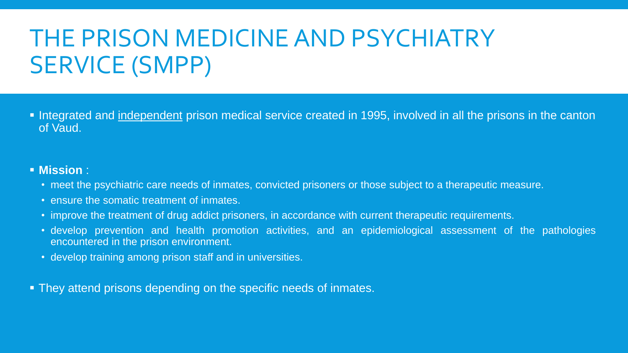### THE PRISON MEDICINE AND PSYCHIATRY SERVICE (SMPP)

▪ Integrated and independent prison medical service created in 1995, involved in all the prisons in the canton of Vaud.

#### ▪ **Mission** :

- meet the psychiatric care needs of inmates, convicted prisoners or those subject to a therapeutic measure.
- ensure the somatic treatment of inmates.
- improve the treatment of drug addict prisoners, in accordance with current therapeutic requirements.
- develop prevention and health promotion activities, and an epidemiological assessment of the pathologies encountered in the prison environment.
- develop training among prison staff and in universities.
- **They attend prisons depending on the specific needs of inmates.**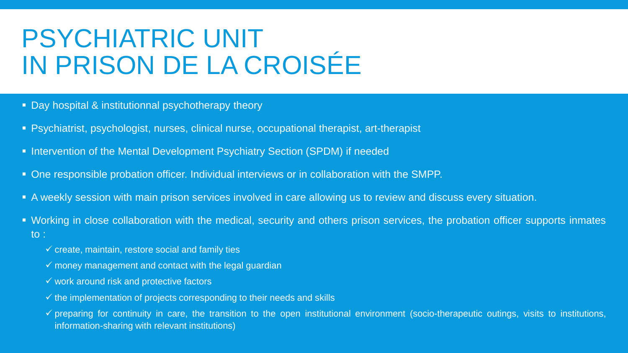## PSYCHIATRIC UNIT IN PRISON DE LA CROISÉE

- Day hospital & institutionnal psychotherapy theory
- **EXPS** Psychiatrist, psychologist, nurses, clinical nurse, occupational therapist, art-therapist
- **.** Intervention of the Mental Development Psychiatry Section (SPDM) if needed
- One responsible probation officer. Individual interviews or in collaboration with the SMPP.
- A weekly session with main prison services involved in care allowing us to review and discuss every situation.
- Working in close collaboration with the medical, security and others prison services, the probation officer supports inmates to :
	- $\checkmark$  create, maintain, restore social and family ties
	- $\checkmark$  money management and contact with the legal guardian
	- $\checkmark$  work around risk and protective factors
	- $\checkmark$  the implementation of projects corresponding to their needs and skills
	- $\checkmark$  preparing for continuity in care, the transition to the open institutional environment (socio-therapeutic outings, visits to institutions, information-sharing with relevant institutions)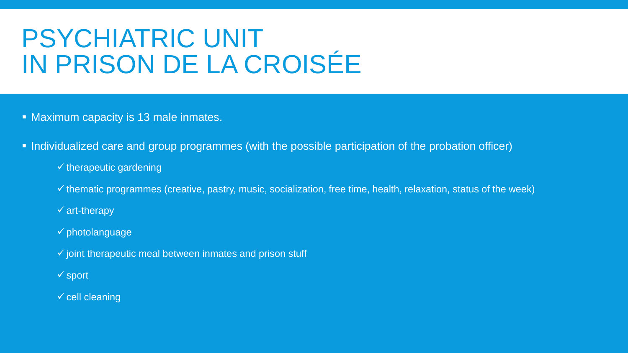### PSYCHIATRIC UNIT IN PRISON DE LA CROISÉE

- Maximum capacity is 13 male inmates.
- **.** Individualized care and group programmes (with the possible participation of the probation officer)
	- $\checkmark$  therapeutic gardening
	- $\checkmark$  thematic programmes (creative, pastry, music, socialization, free time, health, relaxation, status of the week)
	- $\checkmark$  art-therapy
	- $\checkmark$  photolanguage
	- $\checkmark$  joint therapeutic meal between inmates and prison stuff
	- ✓ sport
	- $\checkmark$  cell cleaning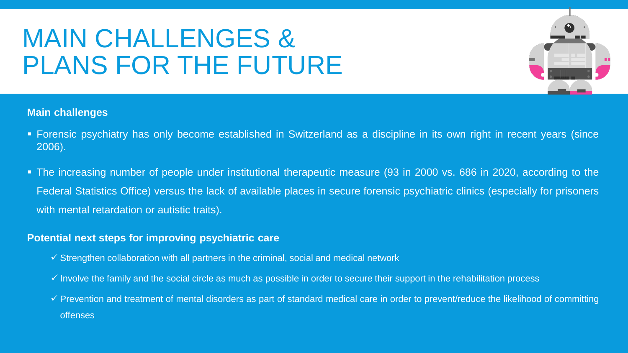## MAIN CHALLENGES & PLANS FOR THE FUTURE



#### **Main challenges**

- Forensic psychiatry has only become established in Switzerland as a discipline in its own right in recent years (since 2006).
- The increasing number of people under institutional therapeutic measure (93 in 2000 vs. 686 in 2020, according to the Federal Statistics Office) versus the lack of available places in secure forensic psychiatric clinics (especially for prisoners with mental retardation or autistic traits).

#### **Potential next steps for improving psychiatric care**

- $\checkmark$  Strengthen collaboration with all partners in the criminal, social and medical network
- $\checkmark$  Involve the family and the social circle as much as possible in order to secure their support in the rehabilitation process
- $\checkmark$  Prevention and treatment of mental disorders as part of standard medical care in order to prevent/reduce the likelihood of committing **offenses**